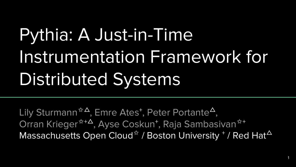# Pythia: A Just-in-Time Instrumentation Framework for Distributed Systems

Lily Sturmann<sup>☆△</sup>, Emre Ates<sup>+</sup>, Peter Portante<sup>△</sup>, Orran Krieger<sup>☆+∆</sup>, Ayse Coskun<sup>+</sup>, Raja Sambasivan<sup>☆+</sup> Massachusetts Open Cloud $^{\star}$  / Boston University  $^+$  / Red Hat $^{\Delta}$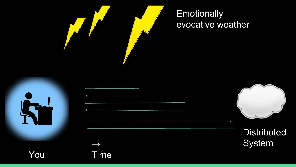

evocative weather

**Distributed** System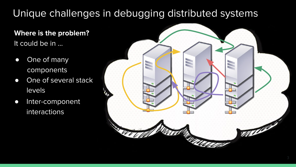#### Unique challenges in debugging distributed systems

**Where is the problem?** It could be in ...

- One of many components
- One of several stack levels
- Inter-component interactions

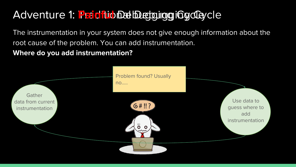## Adventure 1: Faintiub Debugging ging Cycle

The instrumentation in your system does not give enough information about the root cause of the problem. You can add instrumentation.

**Where do you add instrumentation?**

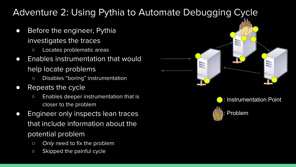#### Adventure 2: Using Pythia to Automate Debugging Cycle

- Before the engineer, Pythia investigates the traces
	- Locates problematic areas
- Enables instrumentation that would help locate problems
	- Disables "boring" instrumentation
- Repeats the cycle
	- Enables deeper instrumentation that is closer to the problem
- Engineer only inspects lean traces that include information about the potential problem
	- o Only need to fix the problem
	- Skipped the painful cycle



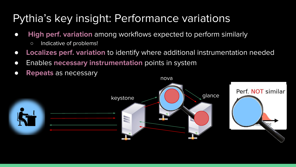# Pythia's key insight: Performance variations

- **High perf. variation** among workflows expected to perform similarly
	- Indicative of problems!
- **Localizes perf. variation** to identify where additional instrumentation needed
- Enables **necessary instrumentation** points in system
- **Repeats** as necessary

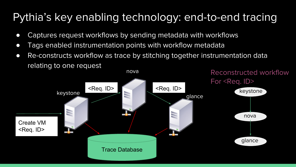# Pythia's key enabling technology: end-to-end tracing

- Captures request workflows by sending metadata with workflows
- Tags enabled instrumentation points with workflow metadata
- Re-constructs workflow as trace by stitching together instrumentation data relating to one request

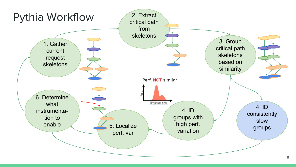